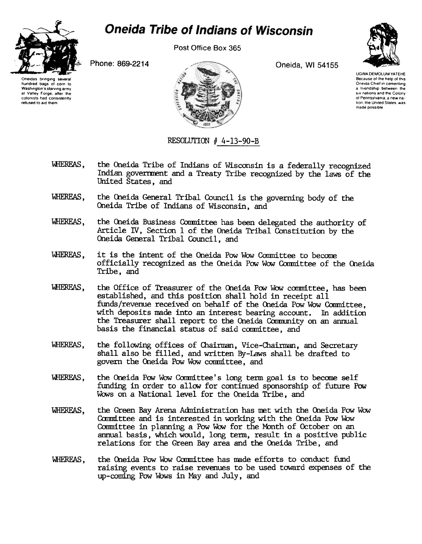

## **Oneida Tribe of Indians of Wisconsin**

Post Office Box 365

Phone: 869-2214 Oneida, WI 54155



Oneidas bringing severa<br>hundred bags of corn to Washington's starving army at Valley Forge. after the colonists had consistently refused to aid them

UGWA DEMOLUM YATEHE Because of the help of this Oneida Chief in cementing a friendship between the six nations and the Colony of Pennsylvania, a new na tion, the United States, was made possible

## RESOLUTION  $#$  4-13-90-B

- WHEREAS, the Oneida Tribe of Indians of Wisconsin is a federally recognized Indian government and a Treaty Tribe recognized by the laws of the United States, and
- WHEREAS, the Oneida General Tribal Council is the governing body of the Oneida Tribe of Indians of Wisconsin, and
- WHEREAS, the Oneida Business Committee has been delegated the authority of Article IV, Section 1 of the Oneida Tribal Constitution by the Oneida General Tribal Council, and
- WHEREAS, it is the intent of the Oneida Pow Wow Committee to become officially recognized as the Oneida Pow Wow Committee of the Oneida Tribe, and
- WHEREAS, the Office of Treasurer of the Oneida Pow Wow committee, has been established, and this position shall hold in receipt all funds/revenue received on behalf of the Oneida Pow Wow Committee. with deposits made into an interest bearing account. In addition the Treasurer shall report to the Oneida Community on an annual basis the financial status of said committee, and
- 'WHEREAS, the following offices of Chairman, Vice-Chairman, and Secretary shall also be filled, and written By-laws shall be drafted to govern the Oneida Pow Wow committee, and
- WHEREAS, the Oneida Pow Wow Committee's long term goal is to become self funding in order to allow for continued sponsorship of future Pow Wows on a National level for the Oneida Tribe, and
- WHEREAS, the Green Bay Arena Administration has met with the Oneida Pow Wow Committee and is interested in working with the Oneida Pow Wow Committee in planning a Pow Wow for the Month of October on an annual basis, which would, long term, result in a positive public relations for the Green Bay area and the Oneida Tribe, and
- WHEREAS, the Oneida Pow Wow Committee has made efforts to conduct fund raising events to raise revenues to be used toward expenses of the up-coming Pow Wows in May and July, and